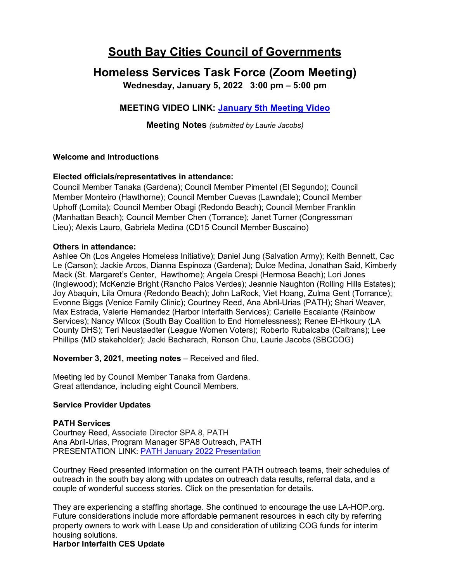# **South Bay Cities Council of Governments**

# **Homeless Services Task Force (Zoom Meeting)**

**Wednesday, January 5, 2022 3:00 pm – 5:00 pm**

# **MEETING VIDEO LINK: [January 5th Meeting Video](https://www.youtube.com/watch?v=OAZJpBBYtPA)**

**Meeting Notes** *(submitted by Laurie Jacobs)*

## **Welcome and Introductions**

## **Elected officials/representatives in attendance:**

Council Member Tanaka (Gardena); Council Member Pimentel (El Segundo); Council Member Monteiro (Hawthorne); Council Member Cuevas (Lawndale); Council Member Uphoff (Lomita); Council Member Obagi (Redondo Beach); Council Member Franklin (Manhattan Beach); Council Member Chen (Torrance); Janet Turner (Congressman Lieu); Alexis Lauro, Gabriela Medina (CD15 Council Member Buscaino)

### **Others in attendance:**

Ashlee Oh (Los Angeles Homeless Initiative); Daniel Jung (Salvation Army); Keith Bennett, Cac Le (Carson); Jackie Arcos, Dianna Espinoza (Gardena); Dulce Medina, Jonathan Said, Kimberly Mack (St. Margaret's Center, Hawthorne); Angela Crespi (Hermosa Beach); Lori Jones (Inglewood); McKenzie Bright (Rancho Palos Verdes); Jeannie Naughton (Rolling Hills Estates); Joy Abaquin, Lila Omura (Redondo Beach); John LaRock, Viet Hoang, Zulma Gent (Torrance); Evonne Biggs (Venice Family Clinic); Courtney Reed, Ana Abril-Urias (PATH); Shari Weaver, Max Estrada, Valerie Hernandez (Harbor Interfaith Services); Carielle Escalante (Rainbow Services); Nancy Wilcox (South Bay Coalition to End Homelessness); Renee El-Hkoury (LA County DHS); Teri Neustaedter (League Women Voters); Roberto Rubalcaba (Caltrans); Lee Phillips (MD stakeholder); Jacki Bacharach, Ronson Chu, Laurie Jacobs (SBCCOG)

**November 3, 2021, meeting notes** – Received and filed.

Meeting led by Council Member Tanaka from Gardena. Great attendance, including eight Council Members.

### **Service Provider Updates**

### **PATH Services**

Courtney Reed, Associate Director SPA 8, PATH Ana Abril-Urias, Program Manager SPA8 Outreach, PATH PRESENTATION LINK: [PATH January 2022 Presentation](https://southbaycities.org/wp-content/uploads/2021/11/PATH-SBCCOG-Presentation-Jan-22.pdf)

Courtney Reed presented information on the current PATH outreach teams, their schedules of outreach in the south bay along with updates on outreach data results, referral data, and a couple of wonderful success stories. Click on the presentation for details.

They are experiencing a staffing shortage. She continued to encourage the use LA-HOP.org. Future considerations include more affordable permanent resources in each city by referring property owners to work with Lease Up and consideration of utilizing COG funds for interim housing solutions.

### **Harbor Interfaith CES Update**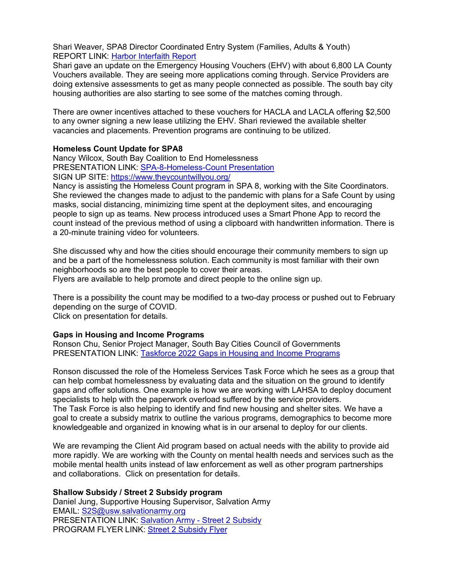Shari Weaver, SPA8 Director Coordinated Entry System (Families, Adults & Youth) REPORT LINK: [Harbor Interfaith Report](https://southbaycities.org/wp-content/uploads/2021/11/Harbor-Interfaith-Report-Out-1-5-22.pdf)

Shari gave an update on the Emergency Housing Vouchers (EHV) with about 6,800 LA County Vouchers available. They are seeing more applications coming through. Service Providers are doing extensive assessments to get as many people connected as possible. The south bay city housing authorities are also starting to see some of the matches coming through.

There are owner incentives attached to these vouchers for HACLA and LACLA offering \$2,500 to any owner signing a new lease utilizing the EHV. Shari reviewed the available shelter vacancies and placements. Prevention programs are continuing to be utilized.

#### **Homeless Count Update for SPA8**

Nancy Wilcox, South Bay Coalition to End Homelessness PRESENTATION LINK: [SPA-8-Homeless-Count Presentation](https://southbaycities.org/wp-content/uploads/2021/11/2022-SBCCOG-1-5-22-SPA-8-Homeless-Count.pdf) SIGN UP SITE:<https://www.theycountwillyou.org/>

Nancy is assisting the Homeless Count program in SPA 8, working with the Site Coordinators. She reviewed the changes made to adjust to the pandemic with plans for a Safe Count by using masks, social distancing, minimizing time spent at the deployment sites, and encouraging people to sign up as teams. New process introduced uses a Smart Phone App to record the count instead of the previous method of using a clipboard with handwritten information. There is a 20-minute training video for volunteers.

She discussed why and how the cities should encourage their community members to sign up and be a part of the homelessness solution. Each community is most familiar with their own neighborhoods so are the best people to cover their areas.

Flyers are available to help promote and direct people to the online sign up.

There is a possibility the count may be modified to a two-day process or pushed out to February depending on the surge of COVID. Click on presentation for details.

### **Gaps in Housing and Income Programs**

Ronson Chu, Senior Project Manager, South Bay Cities Council of Governments PRESENTATION LINK: [Taskforce 2022 Gaps in Housing and Income Programs](https://southbaycities.org/wp-content/uploads/2021/11/Taskforce-2022.pdf)

Ronson discussed the role of the Homeless Services Task Force which he sees as a group that can help combat homelessness by evaluating data and the situation on the ground to identify gaps and offer solutions. One example is how we are working with LAHSA to deploy document specialists to help with the paperwork overload suffered by the service providers. The Task Force is also helping to identify and find new housing and shelter sites. We have a goal to create a subsidy matrix to outline the various programs, demographics to become more knowledgeable and organized in knowing what is in our arsenal to deploy for our clients.

We are revamping the Client Aid program based on actual needs with the ability to provide aid more rapidly. We are working with the County on mental health needs and services such as the mobile mental health units instead of law enforcement as well as other program partnerships and collaborations. Click on presentation for details.

#### **Shallow Subsidy / Street 2 Subsidy program**

Daniel Jung, Supportive Housing Supervisor, Salvation Army EMAIL: [S2S@usw.salvationarmy.org](mailto:S2S@usw.salvationarmy.org) PRESENTATION LINK: [Salvation Army -](https://southbaycities.org/wp-content/uploads/2021/11/Street-2-Subsidy-Program-11.22.2021.pdf) Street 2 Subsidy PROGRAM FLYER LINK: [Street 2 Subsidy Flyer](https://southbaycities.org/wp-content/uploads/2021/11/Street-2-Subsidy-Flyer.pdf)